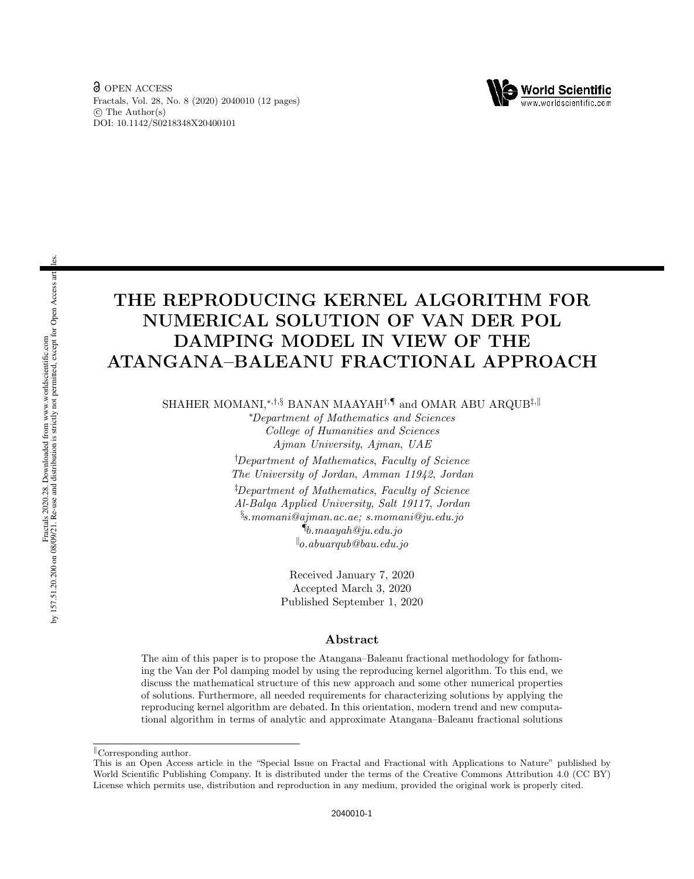

# THE REPRODUCING KERNEL ALGORITHM FOR NUMERICAL SOLUTION OF VAN DER POL DAMPING MODEL IN VIEW OF THE ATANGANA–BALEANU FRACTIONAL APPROACH

SHAHER MOMANI,<sup>∗,†,§</sup> BANAN MAAYAH<sup>†,¶</sup> and OMAR ABU ARQUB<sup>‡,∥</sup>

<sup>∗</sup>Department of Mathematics and Sciences College of Humanities and Sciences Ajman University, Ajman, UAE †Department of Mathematics, Faculty of Science The University of Jordan, Amman 11942, Jordan ‡Department of Mathematics, Faculty of Science Al-Balqa Applied University, Salt 19117, Jordan  $\S$ s.momani@ajman.ac.ae; s.momani@ju.edu.jo  $\P_{b.\,maayah}$ @ju.edu.jo  $\mathcal{L}_{o.abuarqub}\mathcal{Q}_{bau.edu.jo}$ 

> Received January 7, 2020 Accepted March 3, 2020 Published September 1, 2020

### Abstract

The aim of this paper is to propose the Atangana–Baleanu fractional methodology for fathoming the Van der Pol damping model by using the reproducing kernel algorithm. To this end, we discuss the mathematical structure of this new approach and some other numerical properties of solutions. Furthermore, all needed requirements for characterizing solutions by applying the reproducing kernel algorithm are debated. In this orientation, modern trend and new computational algorithm in terms of analytic and approximate Atangana–Baleanu fractional solutions

 $\mathbb{C}$ Corresponding author.

This is an Open Access article in the "Special Issue on Fractal and Fractional with Applications to Nature" published by World Scientific Publishing Company. It is distributed under the terms of the Creative Commons Attribution 4.0 (CC BY) License which permits use, distribution and reproduction in any medium, provided the original work is properly cited.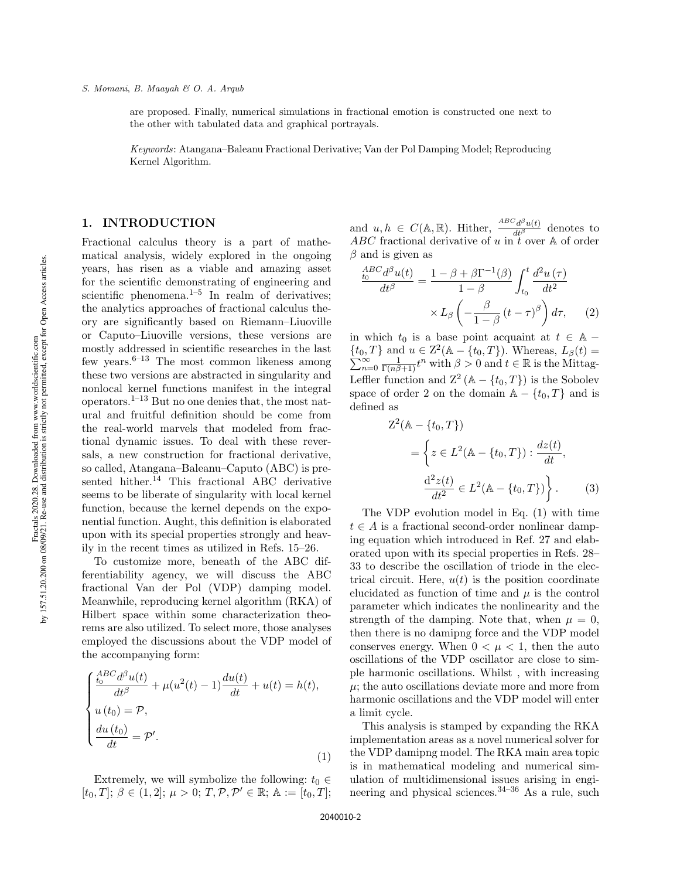are proposed. Finally, numerical simulations in fractional emotion is constructed one next to the other with tabulated data and graphical portrayals.

Keywords: Atangana–Baleanu Fractional Derivative; Van der Pol Damping Model; Reproducing Kernel Algorithm.

### 1. INTRODUCTION

Fractional calculus theory is a part of mathematical analysis, widely explored in the ongoing years, has risen as a viable and amazing asset for the scientific demonstrating of engineering and scientific phenomena.<sup>1–5</sup> In realm of derivatives; the analytics approaches of fractional calculus theory are significantly based on Riemann–Liuoville or Caputo–Liuoville versions, these versions are mostly addressed in scientific researches in the last few years.<sup>6–13</sup> The most common likeness among these two versions are abstracted in singularity and nonlocal kernel functions manifest in the integral operators.<sup>1–13</sup> But no one denies that, the most natural and fruitful definition should be come from the real-world marvels that modeled from fractional dynamic issues. To deal with these reversals, a new construction for fractional derivative, so called, Atangana–Baleanu–Caputo (ABC) is presented hither.<sup>14</sup> This fractional ABC derivative seems to be liberate of singularity with local kernel function, because the kernel depends on the exponential function. Aught, this definition is elaborated upon with its special properties strongly and heavily in the recent times as utilized in Refs. 15–26.

To customize more, beneath of the ABC differentiability agency, we will discuss the ABC fractional Van der Pol (VDP) damping model. Meanwhile, reproducing kernel algorithm (RKA) of Hilbert space within some characterization theorems are also utilized. To select more, those analyses employed the discussions about the VDP model of the accompanying form:

$$
\begin{cases}\n\frac{ABC \, d^{\beta} u(t)}{dt^{\beta}} + \mu(u^{2}(t) - 1) \frac{du(t)}{dt} + u(t) = h(t), \\
u(t_{0}) = \mathcal{P}, \\
\frac{du(t_{0})}{dt} = \mathcal{P}'.\n\end{cases}
$$
\n(1)

Extremely, we will symbolize the following:  $t_0 \in$  $[t_0, T]; \ \beta \in (1, 2]; \ \mu > 0; \ T, \mathcal{P}, \mathcal{P}' \in \mathbb{R}; \ \mathbb{A} := [t_0, T];$  and  $u, h \in C(\mathbb{A}, \mathbb{R})$ . Hither,  $\frac{ABC_d\beta u(t)}{dt^{\beta}}$  denotes to ABC fractional derivative of u in  $\tilde{t}$  over A of order  $\beta$  and is given as

$$
\frac{^{ABC}_{t_0}d^{\beta}u(t)}{dt^{\beta}} = \frac{1 - \beta + \beta \Gamma^{-1}(\beta)}{1 - \beta} \int_{t_0}^{t} \frac{d^2u(\tau)}{dt^2} \times L_{\beta} \left(-\frac{\beta}{1 - \beta}(t - \tau)^{\beta}\right) d\tau, \tag{2}
$$

in which  $t_0$  is a base point acquaint at  $t \in \mathbb{A}$  –  $\{t_0, T\}$  and  $u \in \mathbb{Z}^2$  $\sum$  $(L, T)$  and  $u \in \mathbb{Z}^2(\mathbb{A} - \{t_0, T\})$ . Whereas,  $L_\beta(t) =$ <br>  $\infty$  and  $t \in \mathbb{R}$  is the Mittag  $\sum_{n=0}^{\infty} \frac{1}{\Gamma(n\beta+1)} t^n$  with  $\beta > 0$  and  $t \in \mathbb{R}$  is the Mittag-Leffler function and  $\mathbb{Z}^2 (\mathbb{A} - \{t_0, T\})$  is the Sobolev space of order 2 on the domain  $A - \{t_0, T\}$  and is defined as

$$
Z^{2}(\mathbb{A} - \{t_{0}, T\})
$$
  
=  $\left\{ z \in L^{2}(\mathbb{A} - \{t_{0}, T\}) : \frac{dz(t)}{dt}, \frac{d^{2}z(t)}{dt^{2}} \in L^{2}(\mathbb{A} - \{t_{0}, T\}) \right\}.$  (3)

The VDP evolution model in Eq. (1) with time  $t \in A$  is a fractional second-order nonlinear damping equation which introduced in Ref. 27 and elaborated upon with its special properties in Refs. 28– 33 to describe the oscillation of triode in the electrical circuit. Here,  $u(t)$  is the position coordinate elucidated as function of time and  $\mu$  is the control parameter which indicates the nonlinearity and the strength of the damping. Note that, when  $\mu = 0$ , then there is no damipng force and the VDP model conserves energy. When  $0 < \mu < 1$ , then the auto oscillations of the VDP oscillator are close to simple harmonic oscillations. Whilst , with increasing  $\mu$ ; the auto oscillations deviate more and more from harmonic oscillations and the VDP model will enter a limit cycle.

This analysis is stamped by expanding the RKA implementation areas as a novel numerical solver for the VDP damipng model. The RKA main area topic is in mathematical modeling and numerical simulation of multidimensional issues arising in engineering and physical sciences.34–36 As a rule, such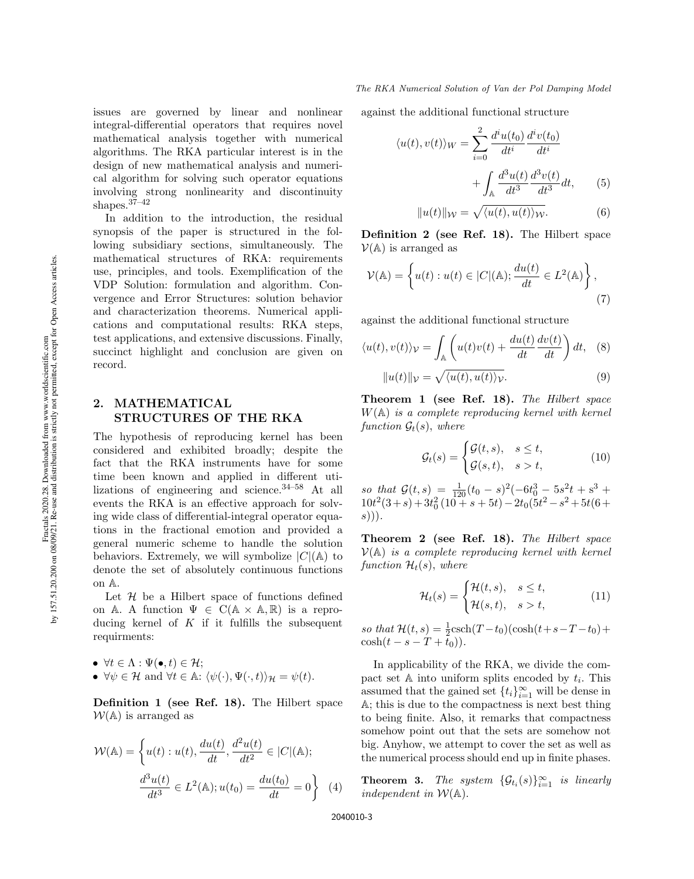issues are governed by linear and nonlinear integral-differential operators that requires novel mathematical analysis together with numerical algorithms. The RKA particular interest is in the design of new mathematical analysis and numerical algorithm for solving such operator equations involving strong nonlinearity and discontinuity shapes.37–42

In addition to the introduction, the residual synopsis of the paper is structured in the following subsidiary sections, simultaneously. The mathematical structures of RKA: requirements use, principles, and tools. Exemplification of the VDP Solution: formulation and algorithm. Convergence and Error Structures: solution behavior and characterization theorems. Numerical applications and computational results: RKA steps, test applications, and extensive discussions. Finally, succinct highlight and conclusion are given on record.

# 2. MATHEMATICAL STRUCTURES OF THE RKA

The hypothesis of reproducing kernel has been considered and exhibited broadly; despite the fact that the RKA instruments have for some time been known and applied in different utilizations of engineering and science.34–58 At all events the RKA is an effective approach for solving wide class of differential-integral operator equations in the fractional emotion and provided a general numeric scheme to handle the solution behaviors. Extremely, we will symbolize  $|C|(\mathbb{A})$  to denote the set of absolutely continuous functions on A.

Let  $H$  be a Hilbert space of functions defined on A. A function  $\Psi \in C(\mathbb{A} \times \mathbb{A}, \mathbb{R})$  is a reproducing kernel of  $K$  if it fulfills the subsequent requirments:

- $\bullet \ \forall t \in \Lambda : \Psi(\bullet, t) \in \mathcal{H};$
- $\forall \psi \in \mathcal{H}$  and  $\forall t \in \mathbb{A}: \langle \psi(\cdot), \Psi(\cdot, t) \rangle_{\mathcal{H}} = \psi(t).$

Definition 1 (see Ref. 18). The Hilbert space  $W(A)$  is arranged as

$$
\mathcal{W}(\mathbb{A}) = \left\{ u(t) : u(t), \frac{du(t)}{dt}, \frac{d^2u(t)}{dt^2} \in |C|(\mathbb{A}); \frac{d^3u(t)}{dt^3} \in L^2(\mathbb{A}); u(t_0) = \frac{du(t_0)}{dt} = 0 \right\}
$$
(4)

against the additional functional structure

$$
\langle u(t), v(t) \rangle_W = \sum_{i=0}^2 \frac{d^i u(t_0)}{dt^i} \frac{d^i v(t_0)}{dt^i}
$$

$$
+ \int_{\mathbb{A}} \frac{d^3 u(t)}{dt^3} \frac{d^3 v(t)}{dt^3} dt,
$$
(5)
$$
||u(t)||_{\mathcal{W}} = \sqrt{\langle u(t), u(t) \rangle_W}.
$$

Definition 2 (see Ref. 18). The Hilbert space  $\mathcal{V}(\mathbb{A})$  is arranged as

$$
\mathcal{V}(\mathbb{A}) = \left\{ u(t) : u(t) \in |C|(\mathbb{A}); \frac{du(t)}{dt} \in L^2(\mathbb{A}) \right\},\tag{7}
$$

against the additional functional structure

$$
\langle u(t), v(t) \rangle_{\mathcal{V}} = \int_{\mathbb{A}} \left( u(t)v(t) + \frac{du(t)}{dt} \frac{dv(t)}{dt} \right) dt, \quad (8)
$$

$$
||u(t)||_{\mathcal{V}} = \sqrt{\langle u(t), u(t) \rangle_{\mathcal{V}}}.
$$
 (9)

Theorem 1 (see Ref. 18). The Hilbert space  $W(A)$  is a complete reproducing kernel with kernel function  $\mathcal{G}_t(s)$ , where

$$
\mathcal{G}_t(s) = \begin{cases} \mathcal{G}(t,s), & s \le t, \\ \mathcal{G}(s,t), & s > t, \end{cases}
$$
 (10)

so that  $\mathcal{G}(t,s) = \frac{1}{120}(t_0-s)^2(-6t_0^3-5s^2t+s^3+$  $10t^2(3+s) + 3t_0^2(10+s+5t) - 2t_0(5t^2 - s^2 + 5t(6+s))$  $s))$ ).

Theorem 2 (see Ref. 18). The Hilbert space  $V(A)$  is a complete reproducing kernel with kernel function  $\mathcal{H}_t(s)$ , where

$$
\mathcal{H}_t(s) = \begin{cases} \mathcal{H}(t,s), & s \le t, \\ \mathcal{H}(s,t), & s > t, \end{cases}
$$
 (11)

so that  $\mathcal{H}(t, s) = \frac{1}{2} \text{csch}(T - t_0) (\cosh(t + s - T - t_0) +$  $\cosh(t - s - T + t_0)).$ 

In applicability of the RKA, we divide the compact set  $A$  into uniform splits encoded by  $t_i$ . This assumed that the gained set  $\{t_i\}_{i=1}^{\infty}$  will be dense in A; this is due to the compactness is next best thing to being finite. Also, it remarks that compactness somehow point out that the sets are somehow not big. Anyhow, we attempt to cover the set as well as the numerical process should end up in finite phases.

**Theorem 3.** The system  $\{\mathcal{G}_{t_i}(s)\}_{i=1}^{\infty}$  is linearly independent in  $W(A)$ .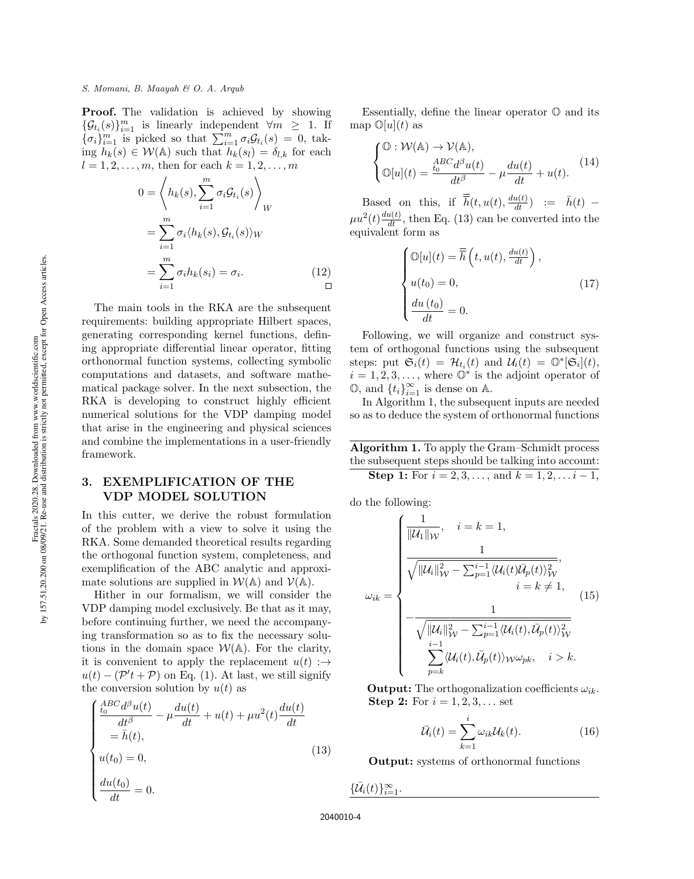**Proof.** The validation is achieved by showing  $\{\mathcal{G}_{t_i}(s)\}_{i=1}^m$  is linearly independent  $\forall m \geq 1$ . If  ${\{\sigma_i\}}_{i=1}^m$  is picked so that  $\sum_{i=1}^m \sigma_i \mathcal{G}_{t_i}(s) = 0$ , taking  $h_k(s) \in \mathcal{W}(\mathbb{A})$  such that  $h_k(s_l) = \delta_{l,k}$  for each  $l = 1, 2, ..., m$ , then for each  $k = 1, 2, ..., m$ 

$$
0 = \left\langle h_k(s), \sum_{i=1}^m \sigma_i \mathcal{G}_{t_i}(s) \right\rangle_W
$$
  
= 
$$
\sum_{i=1}^m \sigma_i \langle h_k(s), \mathcal{G}_{t_i}(s) \rangle_W
$$
  
= 
$$
\sum_{i=1}^m \sigma_i h_k(s_i) = \sigma_i.
$$
 (12)

The main tools in the RKA are the subsequent requirements: building appropriate Hilbert spaces, generating corresponding kernel functions, defining appropriate differential linear operator, fitting orthonormal function systems, collecting symbolic computations and datasets, and software mathematical package solver. In the next subsection, the RKA is developing to construct highly efficient numerical solutions for the VDP damping model that arise in the engineering and physical sciences and combine the implementations in a user-friendly framework.

# 3. EXEMPLIFICATION OF THE VDP MODEL SOLUTION

In this cutter, we derive the robust formulation of the problem with a view to solve it using the RKA. Some demanded theoretical results regarding the orthogonal function system, completeness, and exemplification of the ABC analytic and approximate solutions are supplied in  $W(A)$  and  $V(A)$ .

Hither in our formalism, we will consider the VDP damping model exclusively. Be that as it may, before continuing further, we need the accompanying transformation so as to fix the necessary solutions in the domain space  $W(A)$ . For the clarity, it is convenient to apply the replacement  $u(t)$ : $\rightarrow$  $u(t) - (\mathcal{P}'t + \mathcal{P})$  on Eq. (1). At last, we still signify the conversion solution by  $u(t)$  as

$$
\begin{cases}\n\frac{ABC d^{\beta}u(t)}{dt^{\beta}} - \mu \frac{du(t)}{dt} + u(t) + \mu u^{2}(t) \frac{du(t)}{dt} \\
= \bar{h}(t), \\
u(t_{0}) = 0, \\
\frac{du(t_{0})}{dt} = 0.\n\end{cases}
$$
\n(13)

Essentially, define the linear operator  $\mathbb O$  and its map  $\mathbb{O}[u](t)$  as

$$
\begin{cases} \mathbb{O}: \mathcal{W}(\mathbb{A}) \to \mathcal{V}(\mathbb{A}), \\ \mathbb{O}[u](t) = \frac{\frac{ABC}{t_0}d^{\beta}u(t)}{dt^{\beta}} - \mu \frac{du(t)}{dt} + u(t). \end{cases}
$$
(14)

Based on this, if  $\overline{h}(t, u(t), \frac{du(t)}{dt}) := \overline{h}(t)$  –  $\mu u^2(t) \frac{du(t)}{dt}$ , then Eq. (13) can be converted into the equivalent form as

$$
\begin{cases}\n\mathbb{O}[u](t) = \overline{\overline{h}}\left(t, u(t), \frac{du(t)}{dt}\right), \\
u(t_0) = 0, \\
\frac{du(t_0)}{dt} = 0.\n\end{cases}
$$
\n(17)

Following, we will organize and construct system of orthogonal functions using the subsequent steps: put  $\mathfrak{S}_i(t) = \mathcal{H}_{t_i}(t)$  and  $\mathcal{U}_i(t) = \mathbb{O}^*[\mathfrak{S}_i](t)$ ,  $i = 1, 2, 3, \ldots$ , where  $\overline{\mathbb{O}^*}$  is the adjoint operator of  $\mathbb{O}$ , and  $\{t_i\}_{i=1}^{\infty}$  is dense on A.

In Algorithm 1, the subsequent inputs are needed so as to deduce the system of orthonormal functions

Algorithm 1. To apply the Gram–Schmidt process the subsequent steps should be talking into account:

**Step 1:** For  $i = 2, 3, ...,$  and  $k = 1, 2, ...$   $i - 1$ ,

do the following:

$$
\omega_{ik} = \begin{cases}\n\frac{1}{\|\mathcal{U}_1\|_{\mathcal{W}}}, & i = k = 1, \\
\frac{1}{\sqrt{\|\mathcal{U}_i\|_{\mathcal{W}}^2 - \sum_{p=1}^{i-1} \langle \mathcal{U}_i(t) \overline{\mathcal{U}}_p(t) \rangle_{\mathcal{W}}^2}}, \\
\frac{1}{i = k \neq 1}, \\
-\frac{1}{\sqrt{\|\mathcal{U}_i\|_{\mathcal{W}}^2 - \sum_{p=1}^{i-1} \langle \mathcal{U}_i(t), \overline{\mathcal{U}}_p(t) \rangle_{\mathcal{W}}^2}}, \\
\frac{1}{\sum_{p=k}^{i-1} \langle \mathcal{U}_i(t), \overline{\mathcal{U}}_p(t) \rangle_{\mathcal{W}} \omega_{pk}}, & i > k.\n\end{cases} (15)
$$

**Output:** The orthogonalization coefficients  $\omega_{ik}$ . **Step 2:** For  $i = 1, 2, 3, ...$  set

$$
\bar{\mathcal{U}}_i(t) = \sum_{k=1}^i \omega_{ik} \mathcal{U}_k(t). \tag{16}
$$

Output: systems of orthonormal functions

$$
\{\bar{\mathcal{U}}_i(t)\}_{i=1}^\infty.
$$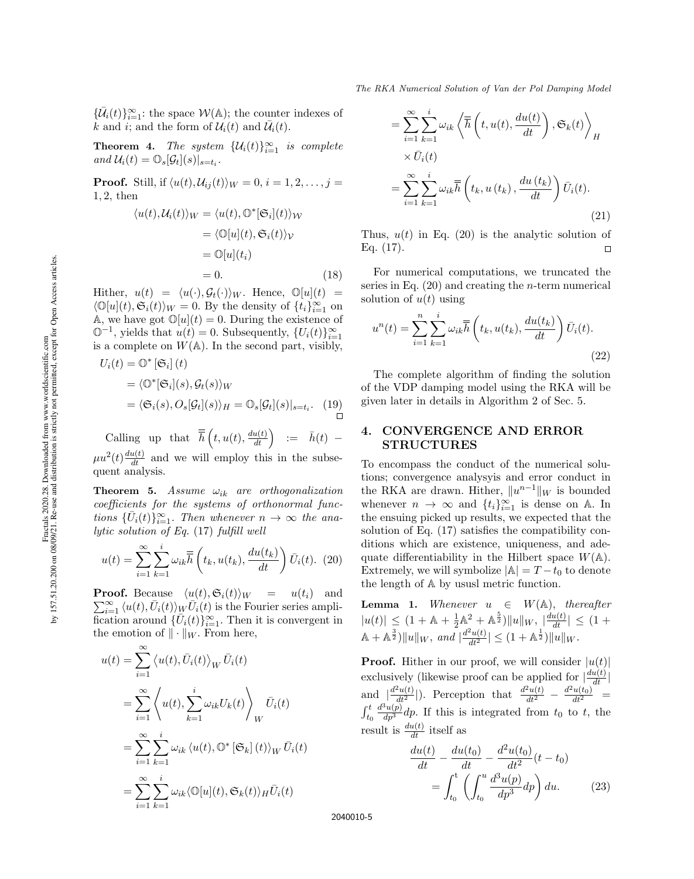${\{\bar{\mathcal{U}}_i(t)\}_{i=1}^\infty}$ : the space  $\mathcal{W}(\mathbb{A})$ ; the counter indexes of k and i; and the form of  $\mathcal{U}_i(t)$  and  $\overline{\mathcal{U}}_i(t)$ .

**Theorem 4.** The system  $\{\mathcal{U}_i(t)\}_{i=1}^{\infty}$  is complete and  $\mathcal{U}_i(t) = \mathbb{O}_s[\mathcal{G}_t](s)|_{s=t_i}$ .

**Proof.** Still, if  $\langle u(t), \mathcal{U}_{ij}(t) \rangle_W = 0, i = 1, 2, \ldots, j =$ 1, 2, then

$$
\langle u(t), \mathcal{U}_i(t) \rangle_W = \langle u(t), \mathbb{O}^*[\mathfrak{S}_i](t) \rangle_W
$$
  

$$
= \langle \mathbb{O}[u](t), \mathfrak{S}_i(t) \rangle_V
$$
  

$$
= \mathbb{O}[u](t_i)
$$
  

$$
= 0. \qquad (18)
$$

Hither,  $u(t) = \langle u(\cdot), \mathcal{G}_t(\cdot)\rangle_W$ . Hence,  $\mathbb{O}[u](t) =$  $\langle \mathbb{O}[u](t), \mathfrak{S}_i(t) \rangle_W = 0.$  By the density of  $\{t_i\}_{i=1}^\infty$  on A, we have got  $\mathbb{O}[u](t) = 0$ . During the existence of  $\mathbb{O}^{-1}$ , yields that  $u(t) = 0$ . Subsequently,  $\{U_i(t)\}_{i=1}^{\infty}$ is a complete on  $W(\mathbb{A})$ . In the second part, visibly,

$$
U_i(t) = \mathbb{O}^* [\mathfrak{S}_i](t)
$$
  
=  $\langle \mathbb{O}^* [\mathfrak{S}_i](s), \mathcal{G}_t(s) \rangle_W$   
=  $\langle \mathfrak{S}_i(s), O_s[\mathcal{G}_t](s) \rangle_H = \mathbb{O}_s[\mathcal{G}_t](s)|_{s=t_i}$ . (19)

Calling up that  $\overline{\overline{h}}\left(t, u(t), \frac{du(t)}{dt}\right) := \overline{h}(t) -$ 

 $\mu u^2(t) \frac{du(t)}{dt}$  and we will employ this in the subsequent analysis.

**Theorem 5.** Assume  $\omega_{ik}$  are orthogonalization coefficients for the systems of orthonormal functions  $\{\bar{U}_i(t)\}_{i=1}^{\infty}$ . Then whenever  $n \to \infty$  the analytic solution of Eq. (17) fulfill well

ila in di

$$
u(t) = \sum_{i=1}^{\infty} \sum_{k=1}^{i} \omega_{ik} \overline{\overline{h}} \left( t_k, u(t_k), \frac{du(t_k)}{dt} \right) \overline{U}_i(t). \tag{20}
$$

**Proof.** Because  $\langle u(t), \mathfrak{S}_i(t) \rangle_W = u(t_i)$  and  $\sum_{i=1}^{\infty} \langle u(t), \bar{U}_i(t) \rangle_{\underline{W}} \bar{U}_i(t)$  is the Fourier series amplification around  $\{\bar{U}_i(t)\}_{i=1}^{\infty}$ . Then it is convergent in the emotion of  $\|\cdot\|_W$ . From here,

$$
u(t) = \sum_{i=1}^{\infty} \langle u(t), \bar{U}_i(t) \rangle_W \bar{U}_i(t)
$$
  
\n
$$
= \sum_{i=1}^{\infty} \langle u(t), \sum_{k=1}^i \omega_{ik} U_k(t) \rangle_W \bar{U}_i(t)
$$
  
\n
$$
= \sum_{i=1}^{\infty} \sum_{k=1}^i \omega_{ik} \langle u(t), \mathbb{O}^* [\mathfrak{S}_k] (t) \rangle_W \bar{U}_i(t)
$$
  
\n
$$
= \sum_{i=1}^{\infty} \sum_{k=1}^i \omega_{ik} \langle \mathbb{O}[u](t), \mathfrak{S}_k(t) \rangle_H \bar{U}_i(t)
$$

$$
= \sum_{i=1}^{\infty} \sum_{k=1}^{i} \omega_{ik} \left\langle \overline{\overline{h}}\left(t, u(t), \frac{du(t)}{dt}\right), \mathfrak{S}_k(t) \right\rangle_H
$$
  
 
$$
\times \overline{U}_i(t)
$$
  

$$
= \sum_{i=1}^{\infty} \sum_{k=1}^{i} \omega_{ik} \overline{\overline{h}}\left(t_k, u(t_k), \frac{du(t_k)}{dt}\right) \overline{U}_i(t).
$$
 (21)

Thus,  $u(t)$  in Eq. (20) is the analytic solution of Eq. (17).  $\Box$ 

For numerical computations, we truncated the series in Eq.  $(20)$  and creating the *n*-term numerical solution of  $u(t)$  using

$$
u^{n}(t) = \sum_{i=1}^{n} \sum_{k=1}^{i} \omega_{ik} \overline{\overline{h}}\left(t_{k}, u(t_{k}), \frac{du(t_{k})}{dt}\right) \overline{U}_{i}(t).
$$
\n(22)

The complete algorithm of finding the solution of the VDP damping model using the RKA will be given later in details in Algorithm 2 of Sec. 5.

### 4. CONVERGENCE AND ERROR STRUCTURES

To encompass the conduct of the numerical solutions; convergence analysyis and error conduct in the RKA are drawn. Hither,  $||u^{n-1}||_W$  is bounded whenever  $n \to \infty$  and  $\{t_i\}_{i=1}^{\infty}$  is dense on A. In the ensuing picked up results, we expected that the solution of Eq. (17) satisfies the compatibility conditions which are existence, uniqueness, and adequate differentiability in the Hilbert space  $W(\mathbb{A})$ . Extremely, we will symbolize  $|\mathbb{A}| = T - t_0$  to denote the length of A by ususl metric function.

**Lemma 1.** Whenever  $u \in W(\mathbb{A})$ , thereafter  $|u(t)| \leq (1 + A + \frac{1}{2}A^2 + A^{\frac{5}{2}})||u||_W,$   $|\frac{du(t)}{dt}| \leq (1 +$  $\mathbb{A} + \mathbb{A}^{\frac{3}{2}}\Vert u \Vert_W$ , and  $\frac{d^2u(t)}{dt^2} \Vert \leq (1 + \mathbb{A}^{\frac{1}{2}})\Vert u \Vert_W$ .

**Proof.** Hither in our proof, we will consider  $|u(t)|$ exclusively (likewise proof can be applied for  $\left|\frac{du(t)}{dt}\right|$ and  $\frac{d^2u(t)}{dt^2}$ . Perception that  $\frac{d^2u(t)}{dt^2} - \frac{d^2u(t_0)}{dt^2} =$  $\int_{t_0}^t$  $\frac{d^3u(p)}{dp^3}dp$ . If this is integrated from  $t_0$  to  $t$ , the result is  $\frac{du(t)}{dt}$  itself as

$$
\frac{du(t)}{dt} - \frac{du(t_0)}{dt} - \frac{d^2u(t_0)}{dt^2}(t - t_0) \n= \int_{t_0}^t \left( \int_{t_0}^u \frac{d^3u(p)}{dp^3} dp \right) du.
$$
\n(23)

2040010-5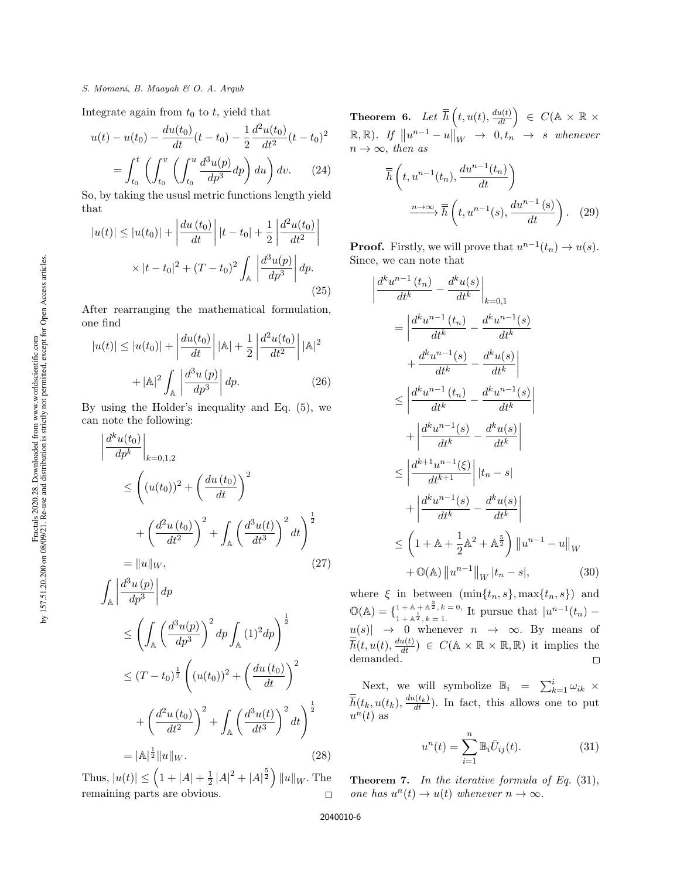#### S. Momani, B. Maayah & O. A. Arqub

Integrate again from  $t_0$  to t, yield that

$$
u(t) - u(t_0) - \frac{du(t_0)}{dt}(t - t_0) - \frac{1}{2} \frac{d^2 u(t_0)}{dt^2}(t - t_0)^2
$$

$$
= \int_{t_0}^t \left( \int_{t_0}^v \left( \int_{t_0}^u \frac{d^3 u(p)}{dp^3} dp \right) du \right) dv. \tag{24}
$$

So, by taking the ususl metric functions length yield that

$$
|u(t)| \le |u(t_0)| + \left| \frac{du(t_0)}{dt} \right| |t - t_0| + \frac{1}{2} \left| \frac{d^2 u(t_0)}{dt^2} \right|
$$
  
 
$$
\times |t - t_0|^2 + (T - t_0)^2 \int_{\mathbb{A}} \left| \frac{d^3 u(p)}{dp^3} \right| dp.
$$
 (25)

After rearranging the mathematical formulation, one find

$$
|u(t)| \le |u(t_0)| + \left| \frac{du(t_0)}{dt} \right| |\mathbb{A}| + \frac{1}{2} \left| \frac{d^2 u(t_0)}{dt^2} \right| |\mathbb{A}|^2 + |\mathbb{A}|^2 \int_{\mathbb{A}} \left| \frac{d^3 u(p)}{dp^3} \right| dp. \tag{26}
$$

By using the Holder's inequality and Eq. (5), we can note the following:

$$
\left| \frac{d^k u(t_0)}{dp^k} \right|_{k=0,1,2}
$$
\n
$$
\leq \left( (u(t_0))^2 + \left( \frac{du(t_0)}{dt} \right)^2 + \left( \frac{d^2 u(t_0)}{dt^2} \right)^2 + \int_{\mathbb{A}} \left( \frac{d^3 u(t)}{dt^3} \right)^2 dt \right)^{\frac{1}{2}}
$$
\n
$$
= ||u||_W, \tag{27}
$$

$$
\int_{\mathbb{A}} \left| \frac{d^3 u(p)}{dp^3} \right| dp
$$
\n
$$
\leq \left( \int_{\mathbb{A}} \left( \frac{d^3 u(p)}{dp^3} \right)^2 dp \int_{\mathbb{A}} (1)^2 dp \right)^{\frac{1}{2}}
$$
\n
$$
\leq (T - t_0)^{\frac{1}{2}} \left( (u(t_0))^2 + \left( \frac{du(t_0)}{dt} \right)^2 \right)
$$
\n
$$
+ \left( \frac{d^2 u(t_0)}{dt^2} \right)^2 + \int_{\mathbb{A}} \left( \frac{d^3 u(t)}{dt^3} \right)^2 dt \right)^{\frac{1}{2}}
$$
\n
$$
= |\mathbb{A}|^{\frac{1}{2}} ||u||_{W}.
$$
\n(28)

 $\frac{1}{2} |A|^2 + |A|^{\frac{5}{2}} \Big) ||u||_W$ . The Thus,  $|u(t)| \leq (1 + |A| + \frac{1}{2})$ remaining parts are obvious.  $\Box$ 

Theorem 6. Let  $\overline{\overline{h}}\left(t,u(t),\frac{du(t)}{dt}\right)$   $\in$   $C(\mathbb{A}\times\mathbb{R}\times\mathbb{B})$  $\mathbb{R}, \mathbb{R}$ ). If  $||u^{n-1} - u||_W \rightarrow 0, t_n \rightarrow s$  whenever  $n \to \infty$ , then as

$$
\overline{\overline{h}}\left(t, u^{n-1}(t_n), \frac{du^{n-1}(t_n)}{dt}\right)
$$
\n
$$
\xrightarrow{n \to \infty} \overline{\overline{h}}\left(t, u^{n-1}(s), \frac{du^{n-1}(s)}{dt}\right).
$$
 (29)

**Proof.** Firstly, we will prove that  $u^{n-1}(t_n) \to u(s)$ . Since, we can note that

$$
\begin{split}\n\left| \frac{d^k u^{n-1} (t_n)}{dt^k} - \frac{d^k u(s)}{dt^k} \right|_{k=0,1} \\
&= \left| \frac{d^k u^{n-1} (t_n)}{dt^k} - \frac{d^k u^{n-1} (s)}{dt^k} \right| \\
&+ \frac{d^k u^{n-1} (s)}{dt^k} - \frac{d^k u(s)}{dt^k} \right| \\
&\le \left| \frac{d^k u^{n-1} (t_n)}{dt^k} - \frac{d^k u^{n-1} (s)}{dt^k} \right| \\
&+ \left| \frac{d^k u^{n-1} (s)}{dt^k} - \frac{d^k u(s)}{dt^k} \right| \\
&\le \left| \frac{d^{k+1} u^{n-1} (\xi)}{dt^{k+1}} \right| |t_n - s| \\
&+ \left| \frac{d^k u^{n-1} (s)}{dt^k} - \frac{d^k u(s)}{dt^k} \right| \\
&\le \left( 1 + \mathbb{A} + \frac{1}{2} \mathbb{A}^2 + \mathbb{A}^{\frac{5}{2}} \right) ||u^{n-1} - u||_W \\
&+ \mathbb{O}(\mathbb{A}) ||u^{n-1}||_W |t_n - s|,\n\end{split} \tag{30}
$$

where  $\xi$  in between  $(\min\{t_n, s\}, \max\{t_n, s\})$  and  $\mathbb{O}(\mathbb{A}) = \{ \begin{matrix} 1 + \mathbb{A} + \mathbb{A}^{\frac{3}{2}}, k = 0, \\ 1 + \mathbb{A}^{\frac{1}{2}}, k = 1 \end{matrix} \}$  $1 + \mathbb{A} + \mathbb{A}^2, k = 0$ , It pursue that  $|u^{n-1}(t_n) -$ <br> $1 + \mathbb{A}^2, k = 1$ .  $u(s) \rightarrow 0$  whenever  $n \rightarrow \infty$ . By means of  $\overline{\overline{h}}(t, u(t), \frac{du(t)}{dt}) \in C(\mathbb{A} \times \mathbb{R} \times \mathbb{R}, \mathbb{R})$  it implies the demanded.

Next, we will symbolize  $\mathbb{B}_i = \sum_{k=1}^i \omega_{ik} \times$  $\overline{\overline{h}}(t_k, u(t_k), \frac{du(t_k)}{dt})$ . In fact, this allows one to put  $u^n(t)$  as

$$
u^n(t) = \sum_{i=1}^n \mathbb{B}_i \bar{U}_{ij}(t). \tag{31}
$$

**Theorem 7.** In the iterative formula of Eq.  $(31)$ , one has  $u^n(t) \to u(t)$  whenever  $n \to \infty$ .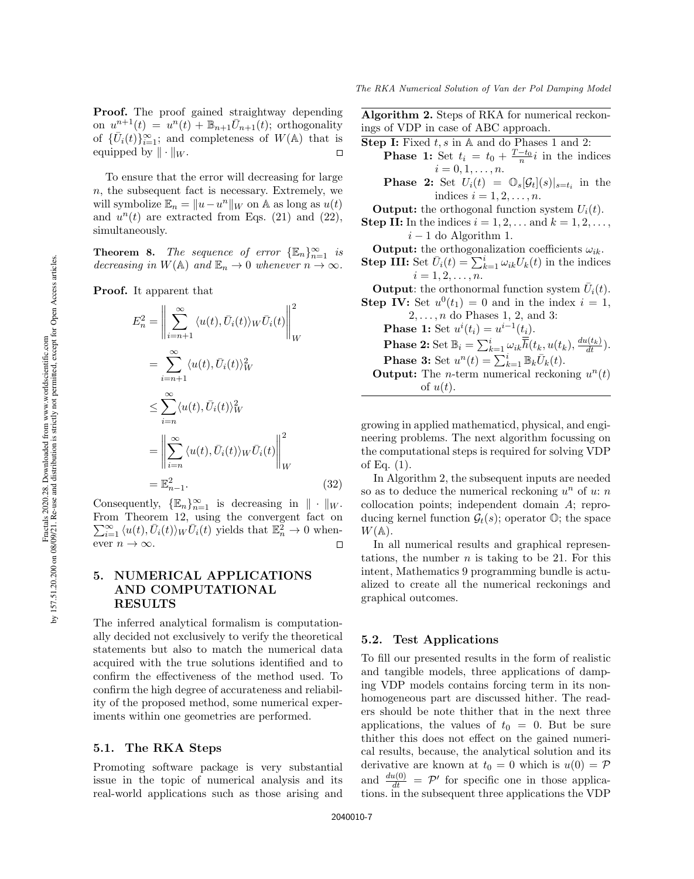Proof. The proof gained straightway depending on  $u^{n+1}(t) = u^n(t) + \mathbb{B}_{n+1}\overline{U}_{n+1}(t)$ ; orthogonality of  $\{\bar{U}_i(t)\}_{i=1}^{\infty}$ ; and completeness of  $W(\mathbb{A})$  that is equipped by  $\|\cdot\|_W$ .  $\Box$ 

To ensure that the error will decreasing for large  $n$ , the subsequent fact is necessary. Extremely, we will symbolize  $\mathbb{E}_n = ||u - u^n||_W$  on A as long as  $u(t)$ and  $u^n(t)$  are extracted from Eqs. (21) and (22), simultaneously.

**Theorem 8.** The sequence of error  $\{\mathbb{E}_n\}_{n=1}^{\infty}$  is decreasing in  $W(\mathbb{A})$  and  $\mathbb{E}_n \to 0$  whenever  $n \to \infty$ .

Proof. It apparent that

$$
E_n^2 = \left\| \sum_{i=n+1}^{\infty} \langle u(t), \bar{U}_i(t) \rangle_W \bar{U}_i(t) \right\|_W^2
$$
  
\n
$$
= \sum_{i=n+1}^{\infty} \langle u(t), \bar{U}_i(t) \rangle_W^2
$$
  
\n
$$
\leq \sum_{i=n}^{\infty} \langle u(t), \bar{U}_i(t) \rangle_W^2
$$
  
\n
$$
= \left\| \sum_{i=n}^{\infty} \langle u(t), \bar{U}_i(t) \rangle_W \bar{U}_i(t) \right\|_W^2
$$
  
\n
$$
= \mathbb{E}_{n-1}^2.
$$
 (32)

Consequently,  $\{\mathbb{E}_n\}_{n=1}^{\infty}$  is decreasing in  $\|\cdot\|_W$ . From Theorem 12, using the convergent fact on  $\sum_{i=1}^{\infty} \langle u(t), \bar{U}_i(t) \rangle_W \bar{U}_i(t)$  yields that  $\mathbb{E}_n^2 \to 0$  whenever  $n \to \infty$ .  $\Box$ 

# 5. NUMERICAL APPLICATIONS AND COMPUTATIONAL RESULTS

The inferred analytical formalism is computationally decided not exclusively to verify the theoretical statements but also to match the numerical data acquired with the true solutions identified and to confirm the effectiveness of the method used. To confirm the high degree of accurateness and reliability of the proposed method, some numerical experiments within one geometries are performed.

### 5.1. The RKA Steps

Promoting software package is very substantial issue in the topic of numerical analysis and its real-world applications such as those arising and Algorithm 2. Steps of RKA for numerical reckonings of VDP in case of ABC approach.

**Step I:** Fixed  $t, s$  in A and do Phases 1 and 2: **Phase 1:** Set  $t_i = t_0 + \frac{T-t_0}{n}$  $\frac{-t_0}{n}$ *i* in the indices  $i = 0, 1, \ldots, n$ . **Phase 2:** Set  $U_i(t) = \mathbb{O}_s[\mathcal{G}_t](s)|_{s=t_i}$  in the indices  $i = 1, 2, \ldots, n$ . **Output:** the orthogonal function system  $U_i(t)$ . **Step II:** In the indices  $i = 1, 2, \ldots$  and  $k = 1, 2, \ldots$ ,  $i - 1$  do Algorithm 1. **Output:** the orthogonalization coefficients  $\omega_{ik}$ . **Step III:** Set  $\bar{U}_i(t) = \sum_{k=1}^i \omega_{ik} U_k(t)$  in the indices  $i = 1, 2, \ldots, n$ . **Output:** the orthonormal function system  $\bar{U}_i(t)$ .

**Step IV:** Set  $u^0(t_1) = 0$  and in the index  $i = 1$ ,  $2, \ldots, n$  do Phases 1, 2, and 3: **Phase 1:** Set  $u^{i}(t_i) = u^{i-1}(t_i)$ . **Phase 2:** Set  $\mathbb{B}_i = \sum_{k=1}^i \omega_{ik} \overline{\overline{h}}(t_k, u(t_k), \frac{du(t_k)}{dt})$ . **Phase 3:** Set  $u^n(t) = \sum_{k=1}^i \mathbb{B}_k \overline{U}_k(t)$ . **Output:** The *n*-term numerical reckoning  $u^n(t)$ of  $u(t)$ .

growing in applied mathematicd, physical, and engineering problems. The next algorithm focussing on the computational steps is required for solving VDP of Eq.  $(1)$ .

In Algorithm 2, the subsequent inputs are needed so as to deduce the numerical reckoning  $u^n$  of  $u: n$ collocation points; independent domain A; reproducing kernel function  $\mathcal{G}_t(s)$ ; operator  $\mathbb{O}$ ; the space  $W(A)$ .

In all numerical results and graphical representations, the number  $n$  is taking to be 21. For this intent, Mathematics 9 programming bundle is actualized to create all the numerical reckonings and graphical outcomes.

### 5.2. Test Applications

To fill our presented results in the form of realistic and tangible models, three applications of damping VDP models contains forcing term in its nonhomogeneous part are discussed hither. The readers should be note thither that in the next three applications, the values of  $t_0 = 0$ . But be sure thither this does not effect on the gained numerical results, because, the analytical solution and its derivative are known at  $t_0 = 0$  which is  $u(0) = \mathcal{P}$ and  $\frac{du(0)}{dt} = \mathcal{P}'$  for specific one in those applications. in the subsequent three applications the VDP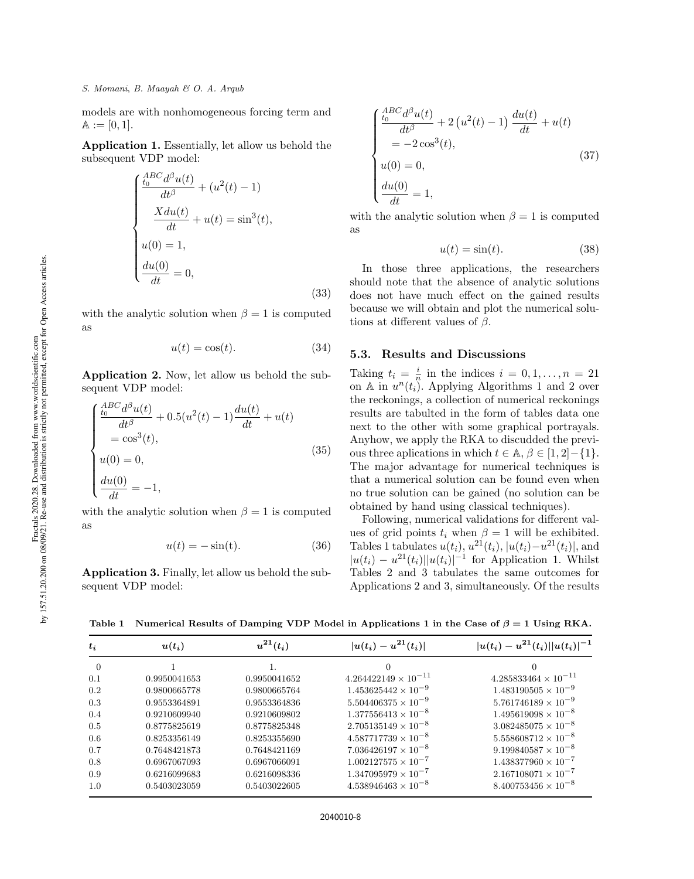models are with nonhomogeneous forcing term and  $A := [0, 1].$ 

Application 1. Essentially, let allow us behold the subsequent VDP model:

$$
\begin{cases}\n\frac{ABC}{t_0}d^{\beta}u(t) + (u^2(t) - 1) \\
\frac{Xdu(t)}{dt} + u(t) = \sin^3(t), \\
u(0) = 1, \\
\frac{du(0)}{dt} = 0,\n\end{cases}
$$
\n(33)

with the analytic solution when  $\beta = 1$  is computed as

$$
u(t) = \cos(t). \tag{34}
$$

Application 2. Now, let allow us behold the subsequent VDP model:

$$
\begin{cases}\n\frac{ABC}{t_0}d^{\beta}u(t) + 0.5(u^2(t) - 1)\frac{du(t)}{dt} + u(t) \\
= \cos^3(t), \\
u(0) = 0, \\
\frac{du(0)}{dt} = -1,\n\end{cases}
$$
\n(35)

with the analytic solution when  $\beta = 1$  is computed as

$$
u(t) = -\sin(t). \tag{36}
$$

Application 3. Finally, let allow us behold the subsequent VDP model:

$$
\begin{cases}\n\frac{ABC}{t_0}d^{\beta}u(t) + 2(u^2(t) - 1)\frac{du(t)}{dt} + u(t) \\
= -2\cos^3(t), \\
u(0) = 0, \\
\frac{du(0)}{dt} = 1,\n\end{cases}
$$
\n(37)

with the analytic solution when  $\beta = 1$  is computed as

$$
u(t) = \sin(t). \tag{38}
$$

In those three applications, the researchers should note that the absence of analytic solutions does not have much effect on the gained results because we will obtain and plot the numerical solutions at different values of  $\beta$ .

### 5.3. Results and Discussions

Taking  $t_i = \frac{i}{n}$  $\frac{i}{n}$  in the indices  $i = 0, 1, \ldots, n = 21$ on A in  $u^n(t_i)$ . Applying Algorithms 1 and 2 over the reckonings, a collection of numerical reckonings results are tabulted in the form of tables data one next to the other with some graphical portrayals. Anyhow, we apply the RKA to discudded the previous three aplications in which  $t \in \mathbb{A}, \beta \in [1, 2]-\{1\}.$ The major advantage for numerical techniques is that a numerical solution can be found even when no true solution can be gained (no solution can be obtained by hand using classical techniques).

Following, numerical validations for different values of grid points  $t_i$  when  $\beta = 1$  will be exhibited. Tables 1 tabulates  $u(t_i)$ ,  $u^{21}(t_i)$ ,  $|u(t_i)-u^{21}(t_i)|$ , and  $|u(t_i) - u^{21}(t_i)||u(t_i)|^{-1}$  for Application 1. Whilst Tables 2 and 3 tabulates the same outcomes for Applications 2 and 3, simultaneously. Of the results

Table 1 Numerical Results of Damping VDP Model in Applications 1 in the Case of  $\beta = 1$  Using RKA.

| $\boldsymbol{t_i}$ | $u(t_i)$     | $u^{21}(t_i)$ | $ u(t_i)-u^{21}(t_i) $        | $ u(t_i) - u^{21}(t_i)  u(t_i) ^{-1}$ |
|--------------------|--------------|---------------|-------------------------------|---------------------------------------|
| $\theta$           |              |               | $^{(1)}$                      | $\theta$                              |
| $0.1\,$            | 0.9950041653 | 0.9950041652  | $4.264422149 \times 10^{-11}$ | $4.285833464 \times 10^{-11}$         |
| $0.2\,$            | 0.9800665778 | 0.9800665764  | $1.453625442 \times 10^{-9}$  | $1.483190505 \times 10^{-9}$          |
| 0.3                | 0.9553364891 | 0.9553364836  | $5.504406375 \times 10^{-9}$  | $5.761746189 \times 10^{-9}$          |
| $0.4\,$            | 0.9210609940 | 0.9210609802  | $1.377556413 \times 10^{-8}$  | $1.495619098 \times 10^{-8}$          |
| $0.5\,$            | 0.8775825619 | 0.8775825348  | $2.705135149 \times 10^{-8}$  | $3.082485075 \times 10^{-8}$          |
| $0.6\,$            | 0.8253356149 | 0.8253355690  | $4.587717739 \times 10^{-8}$  | $5.558608712 \times 10^{-8}$          |
| 0.7                | 0.7648421873 | 0.7648421169  | $7.036426197 \times 10^{-8}$  | $9.199840587 \times 10^{-8}$          |
| 0.8                | 0.6967067093 | 0.6967066091  | $1.002127575 \times 10^{-7}$  | $1.438377960 \times 10^{-7}$          |
| 0.9                | 0.6216099683 | 0.6216098336  | $1.347095979 \times 10^{-7}$  | $2.167108071 \times 10^{-7}$          |
| $1.0\,$            | 0.5403023059 | 0.5403022605  | $4.538946463 \times 10^{-8}$  | $8.400753456 \times 10^{-8}$          |
|                    |              |               |                               |                                       |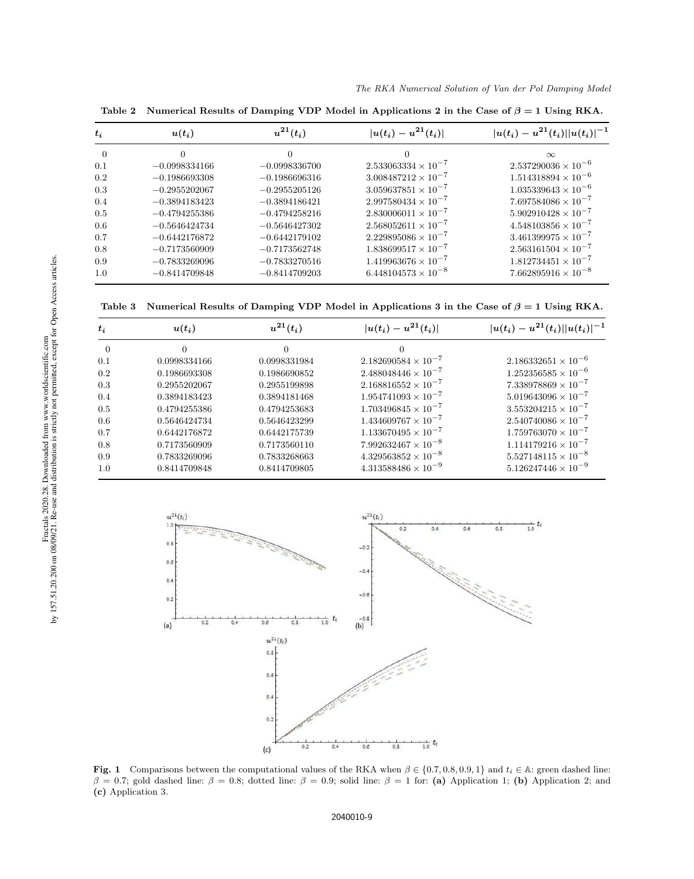| $t_i$    | $u(t_i)$        | $u^{21}(t_i)$   | $ u(t_i)-u^{21}(t_i) $       | $ u(t_i) - u^{21}(t_i)  u(t_i) ^{-1}$ |
|----------|-----------------|-----------------|------------------------------|---------------------------------------|
| $\Omega$ | $\Omega$        | $\Omega$        |                              | $\infty$                              |
| 0.1      | $-0.0998334166$ | $-0.0998336700$ | $2.533063334 \times 10^{-7}$ | $2.537290036 \times 10^{-6}$          |
| 0.2      | $-0.1986693308$ | $-0.1986696316$ | $3.008487212 \times 10^{-7}$ | $1.514318894 \times 10^{-6}$          |
| 0.3      | $-0.2955202067$ | $-0.2955205126$ | $3.059637851 \times 10^{-7}$ | $1.035339643 \times 10^{-6}$          |
| 0.4      | $-0.3894183423$ | $-0.3894186421$ | $2.997580434 \times 10^{-7}$ | $7.697584086 \times 10^{-7}$          |
| 0.5      | $-0.4794255386$ | $-0.4794258216$ | $2.830006011 \times 10^{-7}$ | $5.902910428 \times 10^{-7}$          |
| 0.6      | $-0.5646424734$ | $-0.5646427302$ | $2.568052611 \times 10^{-7}$ | $4.548103856 \times 10^{-7}$          |
| 0.7      | $-0.6442176872$ | $-0.6442179102$ | $2.229895086 \times 10^{-7}$ | $3.461399975 \times 10^{-7}$          |
| 0.8      | $-0.7173560909$ | $-0.7173562748$ | $1.838699517 \times 10^{-7}$ | $2.563161504 \times 10^{-7}$          |
| 0.9      | $-0.7833269096$ | $-0.7833270516$ | $1.419963676 \times 10^{-7}$ | $1.812734451 \times 10^{-7}$          |
| 1.0      | $-0.8414709848$ | $-0.8414709203$ | $6.448104573 \times 10^{-8}$ | $7.662895916 \times 10^{-8}$          |

Table 2 Numerical Results of Damping VDP Model in Applications 2 in the Case of  $\beta = 1$  Using RKA.

Table 3 Numerical Results of Damping VDP Model in Applications 3 in the Case of  $\beta = 1$  Using RKA.

| $t_i$    | $u(t_i)$     | $u^{21}(t_i)$ | $ u(t_i) - u^{21}(t_i) $     | $ u(t_i) - u^{21}(t_i)  u(t_i) ^{-1}$ |
|----------|--------------|---------------|------------------------------|---------------------------------------|
| $\Omega$ | $\Omega$     | 0             |                              |                                       |
| 0.1      | 0.0998334166 | 0.0998331984  | $2.182690584 \times 10^{-7}$ | $2.186332651 \times 10^{-6}$          |
| 0.2      | 0.1986693308 | 0.1986690852  | $2.488048446 \times 10^{-7}$ | $1.252356585 \times 10^{-6}$          |
| 0.3      | 0.2955202067 | 0.2955199898  | $2.168816552 \times 10^{-7}$ | $7.338978869 \times 10^{-7}$          |
| 0.4      | 0.3894183423 | 0.3894181468  | $1.954741093 \times 10^{-7}$ | $5.019643096 \times 10^{-7}$          |
| 0.5      | 0.4794255386 | 0.4794253683  | $1.703496845 \times 10^{-7}$ | $3.553204215 \times 10^{-7}$          |
| 0.6      | 0.5646424734 | 0.5646423299  | $1.434609767 \times 10^{-7}$ | $2.540740086 \times 10^{-7}$          |
| 0.7      | 0.6442176872 | 0.6442175739  | $1.133670495 \times 10^{-7}$ | $1.759763070 \times 10^{-7}$          |
| 0.8      | 0.7173560909 | 0.7173560110  | $7.992632467 \times 10^{-8}$ | $1.114179216 \times 10^{-7}$          |
| 0.9      | 0.7833269096 | 0.7833268663  | $4.329563852 \times 10^{-8}$ | $5.527148115 \times 10^{-8}$          |
| 1.0      | 0.8414709848 | 0.8414709805  | $4.313588486 \times 10^{-9}$ | $5.126247446 \times 10^{-9}$          |



Fig. 1 Comparisons between the computational values of the RKA when  $\beta \in \{0.7, 0.8, 0.9, 1\}$  and  $t_i \in \mathbb{A}$ : green dashed line:  $β = 0.7$ ; gold dashed line: β = 0.8; dotted line: β = 0.9; solid line: β = 1 for: (a) Application 1; (b) Application 2; and (c) Application 3.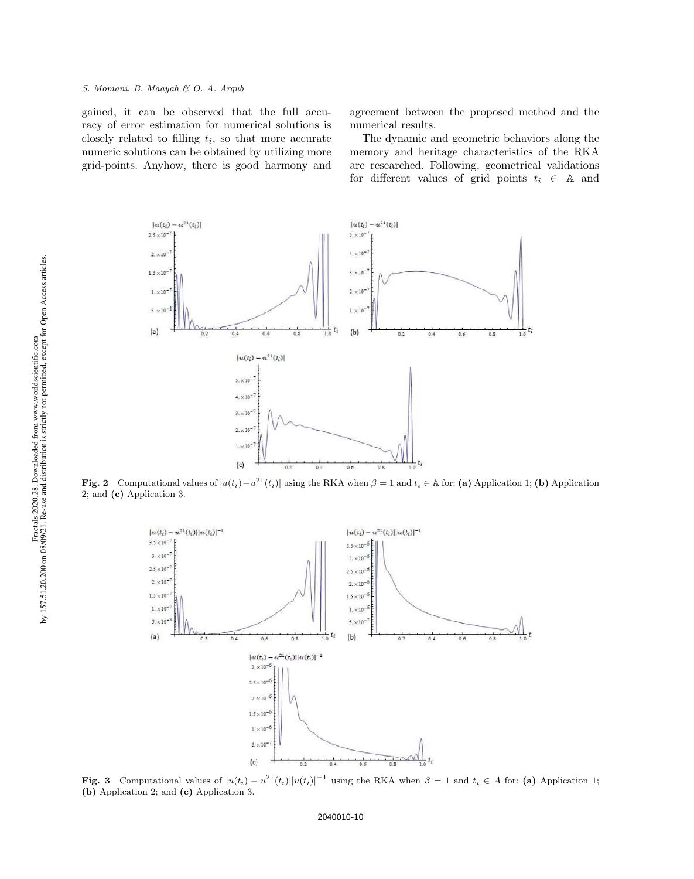gained, it can be observed that the full accuracy of error estimation for numerical solutions is closely related to filling  $t_i$ , so that more accurate numeric solutions can be obtained by utilizing more grid-points. Anyhow, there is good harmony and

agreement between the proposed method and the numerical results.

The dynamic and geometric behaviors along the memory and heritage characteristics of the RKA are researched. Following, geometrical validations for different values of grid points  $t_i \in A$  and



**Fig. 2** Computational values of  $|u(t_i) - u^{21}(t_i)|$  using the RKA when  $\beta = 1$  and  $t_i \in A$  for: (a) Application 1; (b) Application 2; and (c) Application 3.



**Fig. 3** Computational values of  $|u(t_i) - u^{21}(t_i)||u(t_i)|^{-1}$  using the RKA when  $\beta = 1$  and  $t_i \in A$  for: (a) Application 1; (b) Application 2; and (c) Application 3.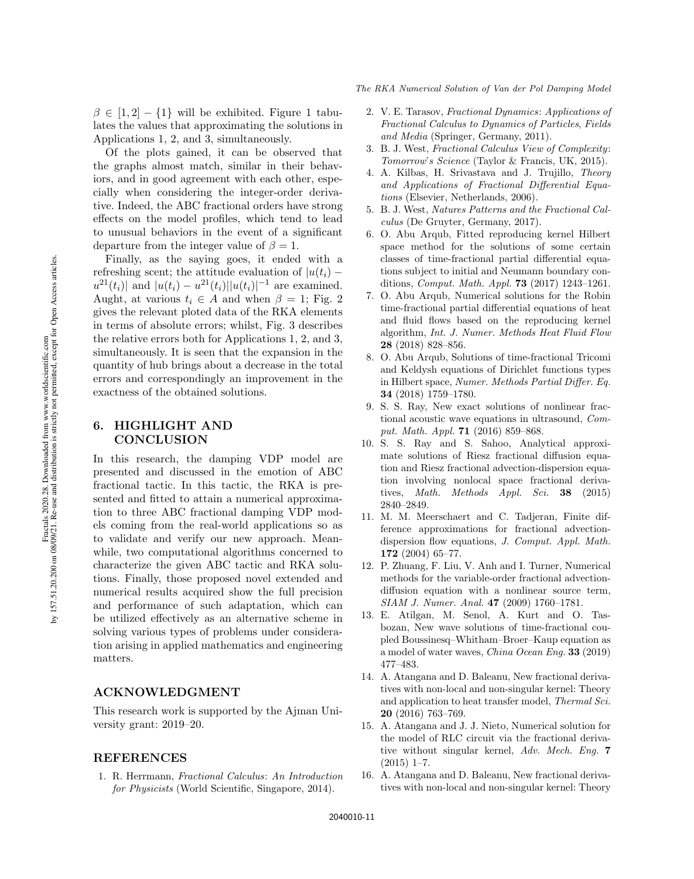$\beta \in [1, 2] - \{1\}$  will be exhibited. Figure 1 tabulates the values that approximating the solutions in Applications 1, 2, and 3, simultaneously.

Of the plots gained, it can be observed that the graphs almost match, similar in their behaviors, and in good agreement with each other, especially when considering the integer-order derivative. Indeed, the ABC fractional orders have strong effects on the model profiles, which tend to lead to unusual behaviors in the event of a significant departure from the integer value of  $\beta = 1$ .

Finally, as the saying goes, it ended with a refreshing scent; the attitude evaluation of  $|u(t_i)$  $u^{21}(t_i)$  and  $|u(t_i) - u^{21}(t_i)||u(t_i)|^{-1}$  are examined. Aught, at various  $t_i \in A$  and when  $\beta = 1$ ; Fig. 2 gives the relevant ploted data of the RKA elements in terms of absolute errors; whilst, Fig. 3 describes the relative errors both for Applications 1, 2, and 3, simultaneously. It is seen that the expansion in the quantity of hub brings about a decrease in the total errors and correspondingly an improvement in the exactness of the obtained solutions.

# 6. HIGHLIGHT AND **CONCLUSION**

In this research, the damping VDP model are presented and discussed in the emotion of ABC fractional tactic. In this tactic, the RKA is presented and fitted to attain a numerical approximation to three ABC fractional damping VDP models coming from the real-world applications so as to validate and verify our new approach. Meanwhile, two computational algorithms concerned to characterize the given ABC tactic and RKA solutions. Finally, those proposed novel extended and numerical results acquired show the full precision and performance of such adaptation, which can be utilized effectively as an alternative scheme in solving various types of problems under consideration arising in applied mathematics and engineering matters.

## ACKNOWLEDGMENT

This research work is supported by the Ajman University grant: 2019–20.

### REFERENCES

1. R. Herrmann, Fractional Calculus: An Introduction for Physicists (World Scientific, Singapore, 2014).

- 2. V. E. Tarasov, Fractional Dynamics: Applications of Fractional Calculus to Dynamics of Particles, Fields and Media (Springer, Germany, 2011).
- 3. B. J. West, Fractional Calculus View of Complexity: Tomorrow's Science (Taylor & Francis, UK, 2015).
- 4. A. Kilbas, H. Srivastava and J. Trujillo, Theory and Applications of Fractional Differential Equations (Elsevier, Netherlands, 2006).
- 5. B. J. West, Natures Patterns and the Fractional Calculus (De Gruyter, Germany, 2017).
- 6. O. Abu Arqub, Fitted reproducing kernel Hilbert space method for the solutions of some certain classes of time-fractional partial differential equations subject to initial and Neumann boundary conditions, Comput. Math. Appl. 73 (2017) 1243–1261.
- 7. O. Abu Arqub, Numerical solutions for the Robin time-fractional partial differential equations of heat and fluid flows based on the reproducing kernel algorithm, Int. J. Numer. Methods Heat Fluid Flow 28 (2018) 828–856.
- 8. O. Abu Arqub, Solutions of time-fractional Tricomi and Keldysh equations of Dirichlet functions types in Hilbert space, Numer. Methods Partial Differ. Eq. 34 (2018) 1759–1780.
- 9. S. S. Ray, New exact solutions of nonlinear fractional acoustic wave equations in ultrasound, Comput. Math. Appl. 71 (2016) 859–868.
- 10. S. S. Ray and S. Sahoo, Analytical approximate solutions of Riesz fractional diffusion equation and Riesz fractional advection-dispersion equation involving nonlocal space fractional derivatives, Math. Methods Appl. Sci. 38 (2015) 2840–2849.
- 11. M. M. Meerschaert and C. Tadjeran, Finite difference approximations for fractional advectiondispersion flow equations, J. Comput. Appl. Math. 172 (2004) 65–77.
- 12. P. Zhuang, F. Liu, V. Anh and I. Turner, Numerical methods for the variable-order fractional advectiondiffusion equation with a nonlinear source term, SIAM J. Numer. Anal. 47 (2009) 1760–1781.
- 13. E. Atilgan, M. Senol, A. Kurt and O. Tasbozan, New wave solutions of time-fractional coupled Boussinesq–Whitham–Broer–Kaup equation as a model of water waves, China Ocean Eng. 33 (2019) 477–483.
- 14. A. Atangana and D. Baleanu, New fractional derivatives with non-local and non-singular kernel: Theory and application to heat transfer model, Thermal Sci. 20 (2016) 763–769.
- 15. A. Atangana and J. J. Nieto, Numerical solution for the model of RLC circuit via the fractional derivative without singular kernel, Adv. Mech. Eng. 7  $(2015)$  1–7.
- 16. A. Atangana and D. Baleanu, New fractional derivatives with non-local and non-singular kernel: Theory

Fractals 2020.28. Downloaded from www.worldscientific.com<br>by 157.51.20.200 on 08/09/21. Re-use and distribution is strictly not permitted, except for Open Access articles by 157.51.20.200 on 08/09/21. Re-use and distribution is strictly not permitted, except for Open Access articles.Fractals 2020.28. Downloaded from www.worldscientific.com